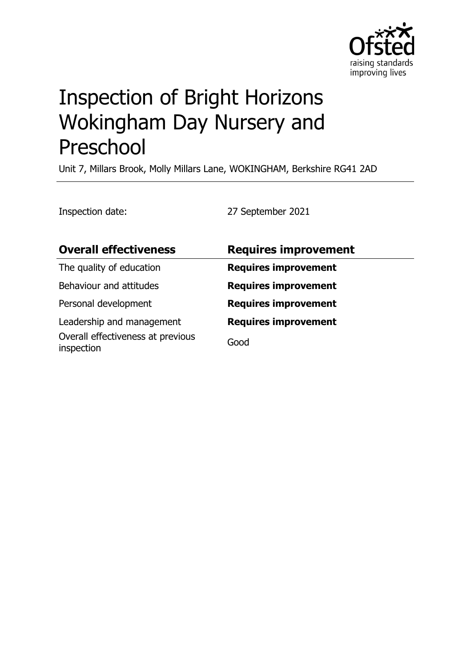

# Inspection of Bright Horizons Wokingham Day Nursery and Preschool

Unit 7, Millars Brook, Molly Millars Lane, WOKINGHAM, Berkshire RG41 2AD

Inspection date: 27 September 2021

| <b>Overall effectiveness</b>                    | <b>Requires improvement</b> |
|-------------------------------------------------|-----------------------------|
| The quality of education                        | <b>Requires improvement</b> |
| Behaviour and attitudes                         | <b>Requires improvement</b> |
| Personal development                            | <b>Requires improvement</b> |
| Leadership and management                       | <b>Requires improvement</b> |
| Overall effectiveness at previous<br>inspection | Good                        |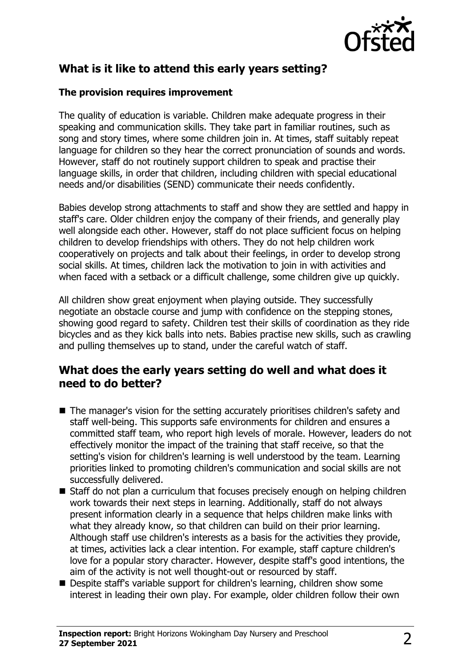

# **What is it like to attend this early years setting?**

#### **The provision requires improvement**

The quality of education is variable. Children make adequate progress in their speaking and communication skills. They take part in familiar routines, such as song and story times, where some children join in. At times, staff suitably repeat language for children so they hear the correct pronunciation of sounds and words. However, staff do not routinely support children to speak and practise their language skills, in order that children, including children with special educational needs and/or disabilities (SEND) communicate their needs confidently.

Babies develop strong attachments to staff and show they are settled and happy in staff's care. Older children enjoy the company of their friends, and generally play well alongside each other. However, staff do not place sufficient focus on helping children to develop friendships with others. They do not help children work cooperatively on projects and talk about their feelings, in order to develop strong social skills. At times, children lack the motivation to join in with activities and when faced with a setback or a difficult challenge, some children give up quickly.

All children show great enjoyment when playing outside. They successfully negotiate an obstacle course and jump with confidence on the stepping stones, showing good regard to safety. Children test their skills of coordination as they ride bicycles and as they kick balls into nets. Babies practise new skills, such as crawling and pulling themselves up to stand, under the careful watch of staff.

## **What does the early years setting do well and what does it need to do better?**

- $\blacksquare$  The manager's vision for the setting accurately prioritises children's safety and staff well-being. This supports safe environments for children and ensures a committed staff team, who report high levels of morale. However, leaders do not effectively monitor the impact of the training that staff receive, so that the setting's vision for children's learning is well understood by the team. Learning priorities linked to promoting children's communication and social skills are not successfully delivered.
- $\blacksquare$  Staff do not plan a curriculum that focuses precisely enough on helping children work towards their next steps in learning. Additionally, staff do not always present information clearly in a sequence that helps children make links with what they already know, so that children can build on their prior learning. Although staff use children's interests as a basis for the activities they provide, at times, activities lack a clear intention. For example, staff capture children's love for a popular story character. However, despite staff's good intentions, the aim of the activity is not well thought-out or resourced by staff.
- Despite staff's variable support for children's learning, children show some interest in leading their own play. For example, older children follow their own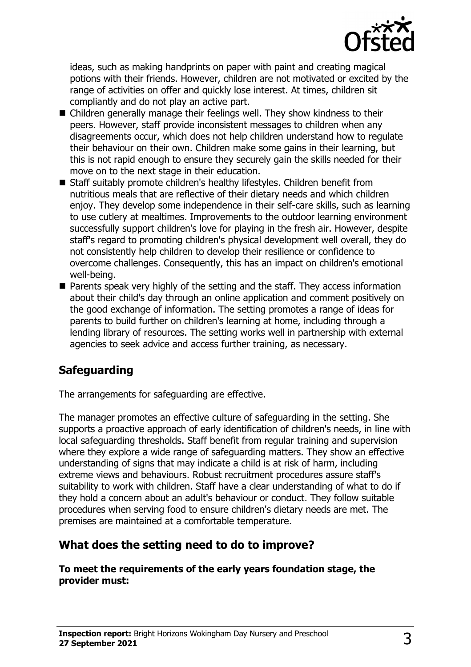

ideas, such as making handprints on paper with paint and creating magical potions with their friends. However, children are not motivated or excited by the range of activities on offer and quickly lose interest. At times, children sit compliantly and do not play an active part.

- Children generally manage their feelings well. They show kindness to their peers. However, staff provide inconsistent messages to children when any disagreements occur, which does not help children understand how to regulate their behaviour on their own. Children make some gains in their learning, but this is not rapid enough to ensure they securely gain the skills needed for their move on to the next stage in their education.
- Staff suitably promote children's healthy lifestyles. Children benefit from nutritious meals that are reflective of their dietary needs and which children enjoy. They develop some independence in their self-care skills, such as learning to use cutlery at mealtimes. Improvements to the outdoor learning environment successfully support children's love for playing in the fresh air. However, despite staff's regard to promoting children's physical development well overall, they do not consistently help children to develop their resilience or confidence to overcome challenges. Consequently, this has an impact on children's emotional well-being.
- $\blacksquare$  Parents speak very highly of the setting and the staff. They access information about their child's day through an online application and comment positively on the good exchange of information. The setting promotes a range of ideas for parents to build further on children's learning at home, including through a lending library of resources. The setting works well in partnership with external agencies to seek advice and access further training, as necessary.

# **Safeguarding**

The arrangements for safeguarding are effective.

The manager promotes an effective culture of safeguarding in the setting. She supports a proactive approach of early identification of children's needs, in line with local safeguarding thresholds. Staff benefit from regular training and supervision where they explore a wide range of safeguarding matters. They show an effective understanding of signs that may indicate a child is at risk of harm, including extreme views and behaviours. Robust recruitment procedures assure staff's suitability to work with children. Staff have a clear understanding of what to do if they hold a concern about an adult's behaviour or conduct. They follow suitable procedures when serving food to ensure children's dietary needs are met. The premises are maintained at a comfortable temperature.

### **What does the setting need to do to improve?**

**To meet the requirements of the early years foundation stage, the provider must:**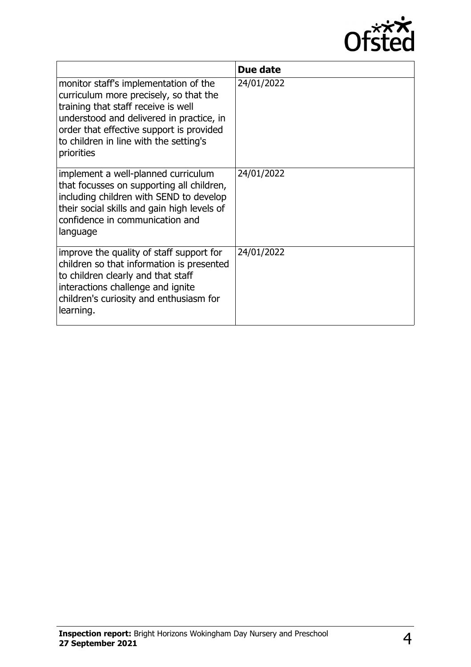

|                                                                                                                                                                                                                                                                        | Due date   |
|------------------------------------------------------------------------------------------------------------------------------------------------------------------------------------------------------------------------------------------------------------------------|------------|
| monitor staff's implementation of the<br>curriculum more precisely, so that the<br>training that staff receive is well<br>understood and delivered in practice, in<br>order that effective support is provided<br>to children in line with the setting's<br>priorities | 24/01/2022 |
| implement a well-planned curriculum<br>that focusses on supporting all children,<br>including children with SEND to develop<br>their social skills and gain high levels of<br>confidence in communication and<br>language                                              | 24/01/2022 |
| improve the quality of staff support for<br>children so that information is presented<br>to children clearly and that staff<br>interactions challenge and ignite<br>children's curiosity and enthusiasm for<br>learning.                                               | 24/01/2022 |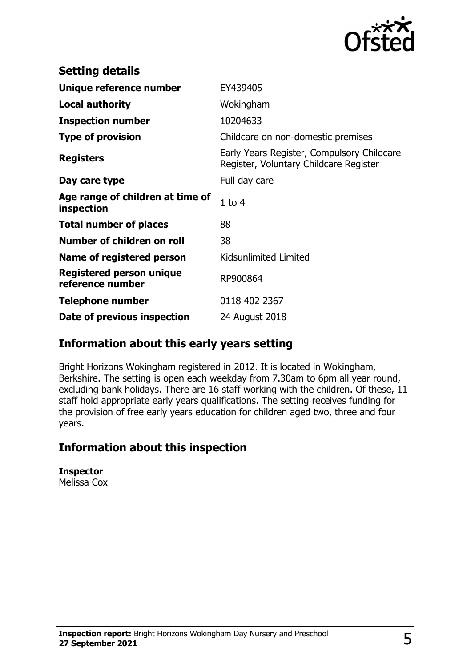

| <b>Setting details</b>                         |                                                                                      |
|------------------------------------------------|--------------------------------------------------------------------------------------|
| Unique reference number                        | EY439405                                                                             |
| <b>Local authority</b>                         | Wokingham                                                                            |
| <b>Inspection number</b>                       | 10204633                                                                             |
| <b>Type of provision</b>                       | Childcare on non-domestic premises                                                   |
| <b>Registers</b>                               | Early Years Register, Compulsory Childcare<br>Register, Voluntary Childcare Register |
| Day care type                                  | Full day care                                                                        |
| Age range of children at time of<br>inspection | $1$ to $4$                                                                           |
| <b>Total number of places</b>                  | 88                                                                                   |
| Number of children on roll                     | 38                                                                                   |
| Name of registered person                      | Kidsunlimited Limited                                                                |
| Registered person unique<br>reference number   | RP900864                                                                             |
| <b>Telephone number</b>                        | 0118 402 2367                                                                        |
| Date of previous inspection                    | 24 August 2018                                                                       |

## **Information about this early years setting**

Bright Horizons Wokingham registered in 2012. It is located in Wokingham, Berkshire. The setting is open each weekday from 7.30am to 6pm all year round, excluding bank holidays. There are 16 staff working with the children. Of these, 11 staff hold appropriate early years qualifications. The setting receives funding for the provision of free early years education for children aged two, three and four years.

## **Information about this inspection**

**Inspector** Melissa Cox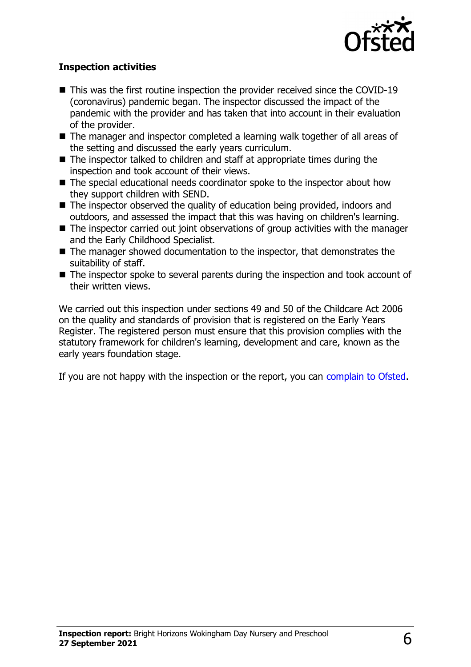

#### **Inspection activities**

- $\blacksquare$  This was the first routine inspection the provider received since the COVID-19 (coronavirus) pandemic began. The inspector discussed the impact of the pandemic with the provider and has taken that into account in their evaluation of the provider.
- $\blacksquare$  The manager and inspector completed a learning walk together of all areas of the setting and discussed the early years curriculum.
- $\blacksquare$  The inspector talked to children and staff at appropriate times during the inspection and took account of their views.
- $\blacksquare$  The special educational needs coordinator spoke to the inspector about how they support children with SEND.
- $\blacksquare$  The inspector observed the quality of education being provided, indoors and outdoors, and assessed the impact that this was having on children's learning.
- $\blacksquare$  The inspector carried out joint observations of group activities with the manager and the Early Childhood Specialist.
- $\blacksquare$  The manager showed documentation to the inspector, that demonstrates the suitability of staff.
- $\blacksquare$  The inspector spoke to several parents during the inspection and took account of their written views.

We carried out this inspection under sections 49 and 50 of the Childcare Act 2006 on the quality and standards of provision that is registered on the Early Years Register. The registered person must ensure that this provision complies with the statutory framework for children's learning, development and care, known as the early years foundation stage.

If you are not happy with the inspection or the report, you can [complain to Ofsted](http://www.gov.uk/complain-ofsted-report).